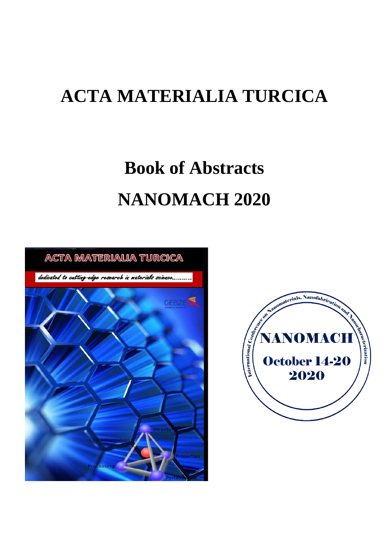# **ACTA MATERIALIA TURCICA**

# **Book of Abstracts NANOMACH 2020**



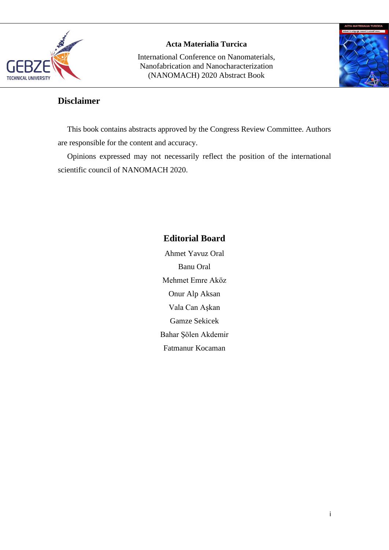

International Conference on Nanomaterials, Nanofabrication and Nanocharacterization (NANOMACH) 2020 Abstract Book



# **Disclaimer**

This book contains abstracts approved by the Congress Review Committee. Authors are responsible for the content and accuracy.

Opinions expressed may not necessarily reflect the position of the international scientific council of NANOMACH 2020.

# **Editorial Board**

Ahmet Yavuz Oral Banu Oral Mehmet Emre Aköz Onur Alp Aksan Vala Can Aşkan Gamze Sekicek Bahar Şölen Akdemir Fatmanur Kocaman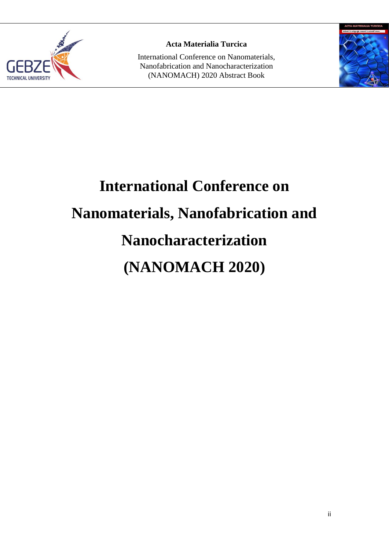

International Conference on Nanomaterials, Nanofabrication and Nanocharacterization (NANOMACH) 2020 Abstract Book



# **International Conference on Nanomaterials, Nanofabrication and Nanocharacterization (NANOMACH 2020)**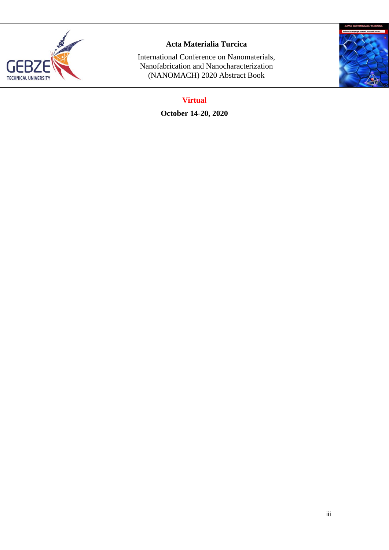

International Conference on Nanomaterials, Nanofabrication and Nanocharacterization (NANOMACH) 2020 Abstract Book



# **Virtual**

**October 14-20, 2020**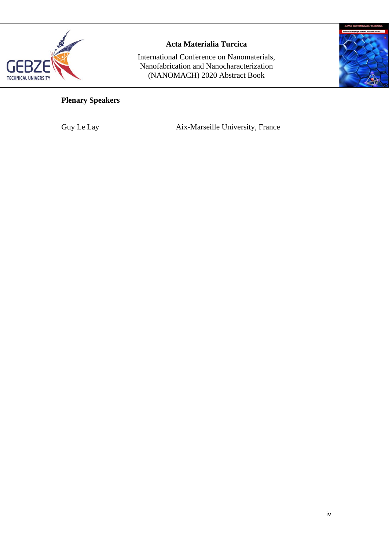

International Conference on Nanomaterials, Nanofabrication and Nanocharacterization (NANOMACH) 2020 Abstract Book



# **Plenary Speakers**

Guy Le Lay Aix-Marseille University, France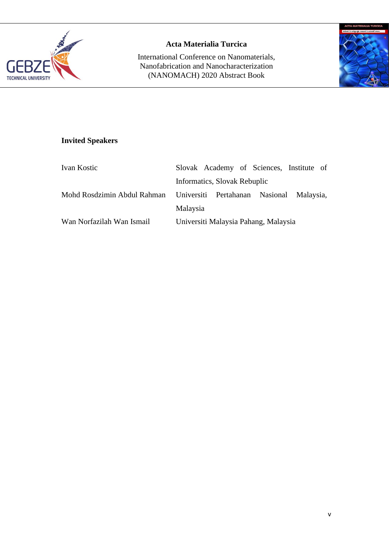

International Conference on Nanomaterials, Nanofabrication and Nanocharacterization (NANOMACH) 2020 Abstract Book



# **Invited Speakers**

| Ivan Kostic                                                          |          |                              | Slovak Academy of Sciences, Institute of |  |
|----------------------------------------------------------------------|----------|------------------------------|------------------------------------------|--|
|                                                                      |          | Informatics, Slovak Rebuplic |                                          |  |
| Mohd Rosdzimin Abdul Rahman Universiti Pertahanan Nasional Malaysia, |          |                              |                                          |  |
|                                                                      | Malaysia |                              |                                          |  |
| Wan Norfazilah Wan Ismail                                            |          |                              | Universiti Malaysia Pahang, Malaysia     |  |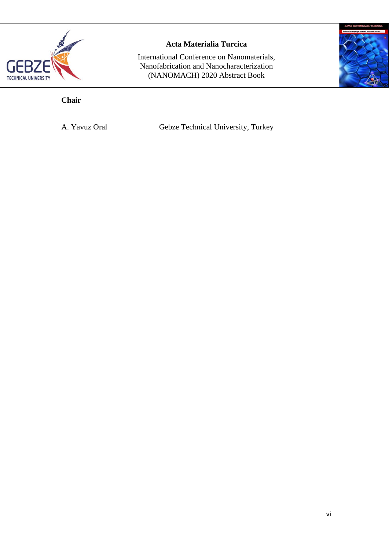

International Conference on Nanomaterials, Nanofabrication and Nanocharacterization (NANOMACH) 2020 Abstract Book



# **Chair**

A. Yavuz Oral Gebze Technical University, Turkey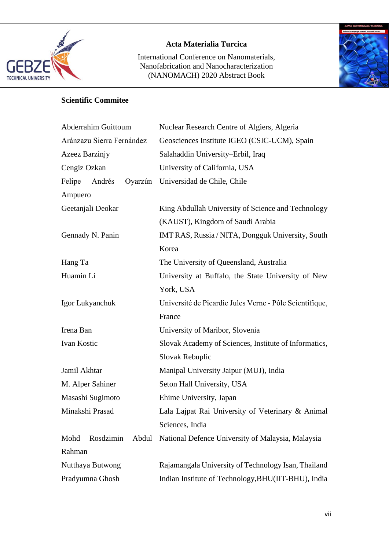

International Conference on Nanomaterials, Nanofabrication and Nanocharacterization (NANOMACH) 2020 Abstract Book



# **Scientific Commitee**

| <b>Abderrahim Guittoum</b> | Nuclear Research Centre of Algiers, Algeria             |
|----------------------------|---------------------------------------------------------|
| Aránzazu Sierra Fernández  | Geosciences Institute IGEO (CSIC-UCM), Spain            |
| Azeez Barzinjy             | Salahaddin University-Erbil, Iraq                       |
| Cengiz Ozkan               | University of California, USA                           |
| Felipe Andrés<br>Oyarzún   | Universidad de Chile, Chile                             |
| Ampuero                    |                                                         |
| Geetanjali Deokar          | King Abdullah University of Science and Technology      |
|                            | (KAUST), Kingdom of Saudi Arabia                        |
| Gennady N. Panin           | IMT RAS, Russia / NITA, Dongguk University, South       |
|                            | Korea                                                   |
| Hang Ta                    | The University of Queensland, Australia                 |
| Huamin Li                  | University at Buffalo, the State University of New      |
|                            | York, USA                                               |
| Igor Lukyanchuk            | Université de Picardie Jules Verne - Pôle Scientifique, |
|                            | France                                                  |
| Irena Ban                  | University of Maribor, Slovenia                         |
| Ivan Kostic                | Slovak Academy of Sciences, Institute of Informatics,   |
|                            | Slovak Rebuplic                                         |
| Jamil Akhtar               | Manipal University Jaipur (MUJ), India                  |
| M. Alper Sahiner           | Seton Hall University, USA                              |
| Masashi Sugimoto           | Ehime University, Japan                                 |
| Minakshi Prasad            | Lala Lajpat Rai University of Veterinary & Animal       |
|                            | Sciences, India                                         |
| Rosdzimin<br>Mohd<br>Abdul | National Defence University of Malaysia, Malaysia       |
| Rahman                     |                                                         |
| Nutthaya Butwong           | Rajamangala University of Technology Isan, Thailand     |
| Pradyumna Ghosh            | Indian Institute of Technology, BHU(IIT-BHU), India     |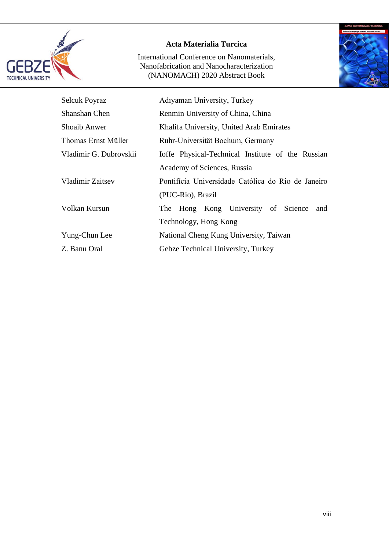

International Conference on Nanomaterials, Nanofabrication and Nanocharacterization (NANOMACH) 2020 Abstract Book



| <b>Selcuk Poyraz</b>    | Adıyaman University, Turkey                        |  |  |
|-------------------------|----------------------------------------------------|--|--|
| Shanshan Chen           | Renmin University of China, China                  |  |  |
| <b>Shoaib Anwer</b>     | Khalifa University, United Arab Emirates           |  |  |
| Thomas Ernst Müller     | Ruhr-Universität Bochum, Germany                   |  |  |
| Vladimir G. Dubrovskii  | Ioffe Physical-Technical Institute of the Russian  |  |  |
|                         | Academy of Sciences, Russia                        |  |  |
| <b>Vladimir Zaitsev</b> | Pontifícia Universidade Católica do Rio de Janeiro |  |  |
|                         | (PUC-Rio), Brazil                                  |  |  |
| Volkan Kursun           | The Hong Kong University of Science<br>and         |  |  |
|                         | Technology, Hong Kong                              |  |  |
| Yung-Chun Lee           | National Cheng Kung University, Taiwan             |  |  |
| Z. Banu Oral            | Gebze Technical University, Turkey                 |  |  |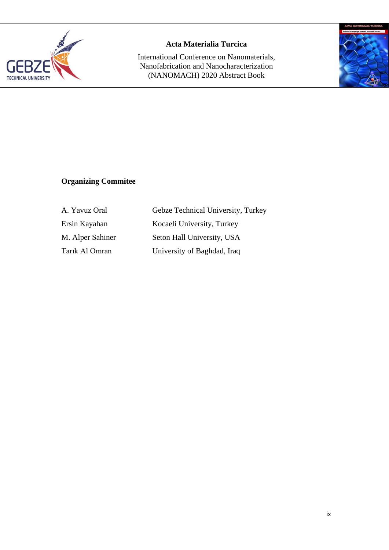

International Conference on Nanomaterials, Nanofabrication and Nanocharacterization (NANOMACH) 2020 Abstract Book



# **Organizing Commitee**

| A. Yavuz Oral    |
|------------------|
| Ersin Kayahan    |
| M. Alper Sahiner |
| Tarik Al Omran   |

Gebze Technical University, Turkey Kocaeli University, Turkey Seton Hall University, USA University of Baghdad, Iraq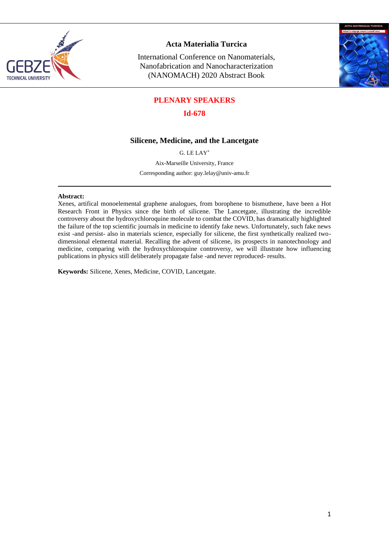

International Conference on Nanomaterials, Nanofabrication and Nanocharacterization (NANOMACH) 2020 Abstract Book



## **PLENARY SPEAKERS**

#### **Id-678**

#### **Silicene, Medicine, and the Lancetgate**

G. LE LAY\*

Aix-Marseille University, France

Corresponding author: guy.lelay@univ-amu.fr

#### **Abstract:**

Xenes, artifical monoelemental graphene analogues, from borophene to bismuthene, have been a Hot Research Front in Physics since the birth of silicene. The Lancetgate, illustrating the incredible controversy about the hydroxychloroquine molecule to combat the COVID, has dramatically highlighted the failure of the top scientific journals in medicine to identify fake news. Unfortunately, such fake news exist -and persist- also in materials science, especially for silicene, the first synthetically realized twodimensional elemental material. Recalling the advent of silicene, its prospects in nanotechnology and medicine, comparing with the hydroxychloroquine controversy, we will illustrate how influencing publications in physics still deliberately propagate false -and never reproduced- results.

**Keywords:** Silicene, Xenes, Medicine, COVID, Lancetgate.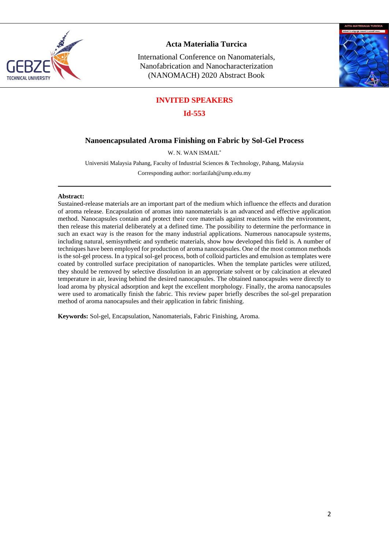

International Conference on Nanomaterials, Nanofabrication and Nanocharacterization (NANOMACH) 2020 Abstract Book



## **INVITED SPEAKERS**

#### **Id-553**

#### **Nanoencapsulated Aroma Finishing on Fabric by Sol-Gel Process**

W. N. WAN ISMAIL\*

Universiti Malaysia Pahang, Faculty of Industrial Sciences & Technology, Pahang, Malaysia

Corresponding author: [norfazilah@ump.edu.my](mailto:norfazilah@ump.edu.my)

#### **Abstract:**

Sustained-release materials are an important part of the medium which influence the effects and duration of aroma release. Encapsulation of aromas into nanomaterials is an advanced and effective application method. Nanocapsules contain and protect their core materials against reactions with the environment, then release this material deliberately at a defined time. The possibility to determine the performance in such an exact way is the reason for the many industrial applications. Numerous nanocapsule systems, including natural, semisynthetic and synthetic materials, show how developed this field is. A number of techniques have been employed for production of aroma nanocapsules. One of the most common methods is the sol-gel process. In a typical sol-gel process, both of colloid particles and emulsion as templates were coated by controlled surface precipitation of nanoparticles. When the template particles were utilized, they should be removed by selective dissolution in an appropriate solvent or by calcination at elevated temperature in air, leaving behind the desired nanocapsules. The obtained nanocapsules were directly to load aroma by physical adsorption and kept the excellent morphology. Finally, the aroma nanocapsules were used to aromatically finish the fabric. This review paper briefly describes the sol-gel preparation method of aroma nanocapsules and their application in fabric finishing.

**Keywords:** Sol-gel, Encapsulation, Nanomaterials, Fabric Finishing, Aroma.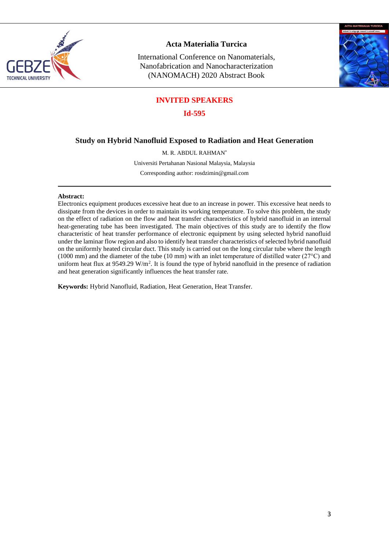

International Conference on Nanomaterials, Nanofabrication and Nanocharacterization (NANOMACH) 2020 Abstract Book



## **INVITED SPEAKERS**

**Id-595**

#### **Study on Hybrid Nanofluid Exposed to Radiation and Heat Generation**

M. R. ABDUL RAHMAN\*

Universiti Pertahanan Nasional Malaysia, Malaysia

Corresponding author: [rosdzimin@gmail.com](mailto:rosdzimin@gmail.com)

#### **Abstract:**

Electronics equipment produces excessive heat due to an increase in power. This excessive heat needs to dissipate from the devices in order to maintain its working temperature. To solve this problem, the study on the effect of radiation on the flow and heat transfer characteristics of hybrid nanofluid in an internal heat-generating tube has been investigated. The main objectives of this study are to identify the flow characteristic of heat transfer performance of electronic equipment by using selected hybrid nanofluid under the laminar flow region and also to identify heat transfer characteristics of selected hybrid nanofluid on the uniformly heated circular duct. This study is carried out on the long circular tube where the length (1000 mm) and the diameter of the tube (10 mm) with an inlet temperature of distilled water (27°C) and uniform heat flux at  $9549.29 \text{ W/m}^2$ . It is found the type of hybrid nanofluid in the presence of radiation and heat generation significantly influences the heat transfer rate.

**Keywords:** Hybrid Nanofluid, Radiation, Heat Generation, Heat Transfer.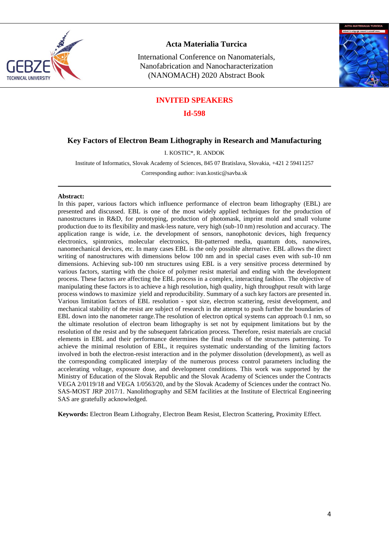

International Conference on Nanomaterials, Nanofabrication and Nanocharacterization (NANOMACH) 2020 Abstract Book



#### **INVITED SPEAKERS**

**Id-598**

#### **Key Factors of Electron Beam Lithography in Research and Manufacturing**

I. KOSTIC\*, R. ANDOK

Institute of Informatics, Slovak Academy of Sciences, 845 07 Bratislava, Slovakia, +421 2 59411257

Corresponding author[: ivan.kostic@savba.sk](mailto:ivan.kostic@savba.sk)

#### **Abstract:**

In this paper, various factors which influence performance of electron beam lithography (EBL) are presented and discussed. EBL is one of the most widely applied techniques for the production of nanostructures in R&D, for prototyping, production of photomask, imprint mold and small volume production due to its flexibility and mask-less nature, very high (sub-10 nm) resolution and accuracy. The application range is wide, i.e. the development of sensors, nanophotonic devices, high frequency electronics, spintronics, molecular electronics, Bit-patterned media, quantum dots, nanowires, nanomechanical devices, etc. In many cases EBL is the only possible alternative. EBL allows the direct writing of nanostructures with dimensions below 100 nm and in special cases even with sub-10 nm dimensions. Achieving sub-100 nm structures using EBL is a very sensitive process determined by various factors, starting with the choice of polymer resist material and ending with the development process. These factors are affecting the EBL process in a complex, interacting fashion. The objective of manipulating these factors is to achieve a high resolution, high quality, high throughput result with large process windows to maximize yield and reproducibility. Summary of a such key factors are presented in. Various limitation factors of EBL resolution - spot size, electron scattering, resist development, and mechanical stability of the resist are subject of research in the attempt to push further the boundaries of EBL down into the nanometer range.The resolution of electron optical systems can approach 0.1 nm, so the ultimate resolution of electron beam lithography is set not by equipment limitations but by the resolution of the resist and by the subsequent fabrication process. Therefore, resist materials are crucial elements in EBL and their performance determines the final results of the structures patterning. To achieve the minimal resolution of EBL, it requires systematic understanding of the limiting factors involved in both the electron-resist interaction and in the polymer dissolution (development), as well as the corresponding complicated interplay of the numerous process control parameters including the accelerating voltage, exposure dose, and development conditions. This work was supported by the Ministry of Education of the Slovak Republic and the Slovak Academy of Sciences under the Contracts VEGA 2/0119/18 and VEGA 1/0563/20, and by the Slovak Academy of Sciences under the contract No. SAS-MOST JRP 2017/1. Nanolithography and SEM facilities at the Institute of Electrical Engineering SAS are gratefully acknowledged.

**Keywords:** Electron Beam Lithograhy, Electron Beam Resist, Electron Scattering, Proximity Effect.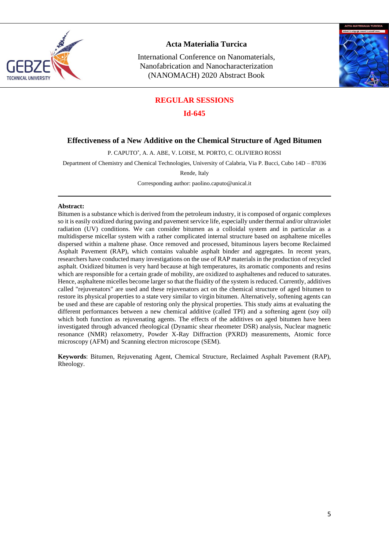

International Conference on Nanomaterials, Nanofabrication and Nanocharacterization (NANOMACH) 2020 Abstract Book



#### **REGULAR SESSIONS**

#### **Id-645**

#### **Effectiveness of a New Additive on the Chemical Structure of Aged Bitumen**

P. CAPUTO\* , A. A. ABE, V. LOISE, M. PORTO, C. OLIVIERO ROSSI

Department of Chemistry and Chemical Technologies, University of Calabria, Via P. Bucci, Cubo 14D – 87036

Rende, Italy

Corresponding author: [paolino.caputo@unical.it](mailto:paolino.caputo@unical.it)

#### **Abstract:**

Bitumen is a substance which is derived from the petroleum industry, it is composed of organic complexes so it is easily oxidized during paving and pavement service life, especially under thermal and/or ultraviolet radiation (UV) conditions. We can consider bitumen as a colloidal system and in particular as a multidisperse micellar system with a rather complicated internal structure based on asphaltene micelles dispersed within a maltene phase. Once removed and processed, bituminous layers become Reclaimed Asphalt Pavement (RAP), which contains valuable asphalt binder and aggregates. In recent years, researchers have conducted many investigations on the use of RAP materials in the production of recycled asphalt. Oxidized bitumen is very hard because at high temperatures, its aromatic components and resins which are responsible for a certain grade of mobility, are oxidized to asphaltenes and reduced to saturates. Hence, asphaltene micelles become larger so that the fluidity of the system is reduced. Currently, additives called "rejuvenators" are used and these rejuvenators act on the chemical structure of aged bitumen to restore its physical properties to a state very similar to virgin bitumen. Alternatively, softening agents can be used and these are capable of restoring only the physical properties. This study aims at evaluating the different performances between a new chemical additive (called TPI) and a softening agent (soy oil) which both function as rejuvenating agents. The effects of the additives on aged bitumen have been investigated through advanced rheological (Dynamic shear rheometer DSR) analysis, Nuclear magnetic resonance (NMR) relaxometry, Powder X-Ray Diffraction (PXRD) measurements, Atomic force microscopy (AFM) and Scanning electron microscope (SEM).

**Keywords**: Bitumen, Rejuvenating Agent, Chemical Structure, Reclaimed Asphalt Pavement (RAP), Rheology.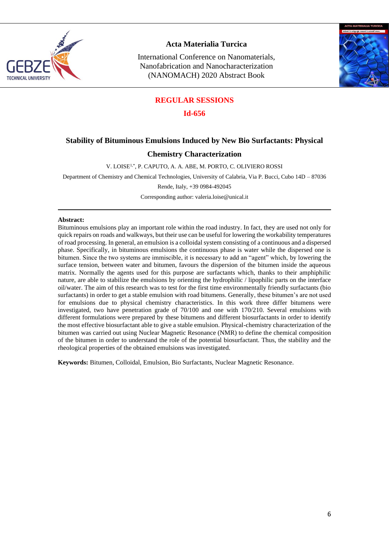

International Conference on Nanomaterials, Nanofabrication and Nanocharacterization (NANOMACH) 2020 Abstract Book



#### **REGULAR SESSIONS**

**Id-656**

#### **Stability of Bituminous Emulsions Induced by New Bio Surfactants: Physical**

#### **Chemistry Characterization**

V. LOISE1,\*, P. CAPUTO, A. A. ABE, M. PORTO, C. OLIVIERO ROSSI

Department of Chemistry and Chemical Technologies, University of Calabria, Via P. Bucci, Cubo 14D – 87036

Rende, Italy, +39 0984-492045

Corresponding author: [valeria.loise@unical.it](mailto:valeria.loise@unical.it)

#### **Abstract:**

Bituminous emulsions play an important role within the road industry. In fact, they are used not only for quick repairs on roads and walkways, but their use can be useful for lowering the workability temperatures of road processing. In general, an emulsion is a colloidal system consisting of a continuous and a dispersed phase. Specifically, in bituminous emulsions the continuous phase is water while the dispersed one is bitumen. Since the two systems are immiscible, it is necessary to add an "agent" which, by lowering the surface tension, between water and bitumen, favours the dispersion of the bitumen inside the aqueous matrix. Normally the agents used for this purpose are surfactants which, thanks to their amphiphilic nature, are able to stabilize the emulsions by orienting the hydrophilic / lipophilic parts on the interface oil/water. The aim of this research was to test for the first time environmentally friendly surfactants (bio surfactants) in order to get a stable emulsion with road bitumens. Generally, these bitumen's are not used for emulsions due to physical chemistry characteristics. In this work three differ bitumens were investigated, two have penetration grade of 70/100 and one with 170/210. Several emulsions with different formulations were prepared by these bitumens and different biosurfactants in order to identify the most effective biosurfactant able to give a stable emulsion. Physical-chemistry characterization of the bitumen was carried out using Nuclear Magnetic Resonance (NMR) to define the chemical composition of the bitumen in order to understand the role of the potential biosurfactant. Thus, the stability and the rheological properties of the obtained emulsions was investigated.

**Keywords:** Bitumen, Colloidal, Emulsion, Bio Surfactants, Nuclear Magnetic Resonance.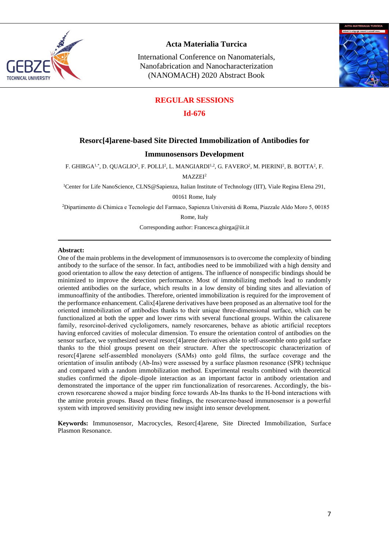

International Conference on Nanomaterials, Nanofabrication and Nanocharacterization (NANOMACH) 2020 Abstract Book



#### **REGULAR SESSIONS**

#### **Id-676**

#### **Resorc[4]arene-based Site Directed Immobilization of Antibodies for**

#### **Immunosensors Development**

F. GHIRGA!\*, D. QUAGLIO<sup>2</sup>, F. POLLI<sup>2</sup>, L. MANGIARDI<sup>1,2</sup>, G. FAVERO<sup>2</sup>, M. PIERINI<sup>2</sup>, B. BOTTA<sup>2</sup>, F.

MAZZEI<sup>2</sup>

<sup>1</sup>Center for Life NanoScience, CLNS@Sapienza, Italian Institute of Technology (IIT), Viale Regina Elena 291,

00161 Rome, Italy

<sup>2</sup>Dipartimento di Chimica e Tecnologie del Farmaco, Sapienza Università di Roma, Piazzale Aldo Moro 5, 00185

Rome, Italy

Corresponding author[: Francesca.ghirga@iit.it](mailto:Francesca.ghirga@iit.it)

#### **Abstract:**

One of the main problems in the development of immunosensors is to overcome the complexity of binding antibody to the surface of the sensor. In fact, antibodies need to be immobilized with a high density and good orientation to allow the easy detection of antigens. The influence of nonspecific bindings should be minimized to improve the detection performance. Most of immobilizing methods lead to randomly oriented antibodies on the surface, which results in a low density of binding sites and alleviation of immunoaffinity of the antibodies. Therefore, oriented immobilization is required for the improvement of the performance enhancement. Calix[4]arene derivatives have been proposed as an alternative tool for the oriented immobilization of antibodies thanks to their unique three‐dimensional surface, which can be functionalized at both the upper and lower rims with several functional groups. Within the calixarene family, resorcinol-derived cycloligomers, namely resorcarenes, behave as abiotic artificial receptors having enforced cavities of molecular dimension. To ensure the orientation control of antibodies on the sensor surface, we synthesized several resorc[4]arene derivatives able to self-assemble onto gold surface thanks to the thiol groups present on their structure. After the spectroscopic characterization of resorc[4]arene self‐assembled monolayers (SAMs) onto gold films, the surface coverage and the orientation of insulin antibody (Ab‐Ins) were assessed by a surface plasmon resonance (SPR) technique and compared with a random immobilization method. Experimental results combined with theoretical studies confirmed the dipole–dipole interaction as an important factor in antibody orientation and demonstrated the importance of the upper rim functionalization of resorcarenes. Accordingly, the biscrown resorcarene showed a major binding force towards Ab‐Ins thanks to the H‐bond interactions with the amine protein groups. Based on these findings, the resorcarene‐based immunosensor is a powerful system with improved sensitivity providing new insight into sensor development.

**Keywords:** Immunosensor, Macrocycles, Resorc[4]arene, Site Directed Immobilization, Surface Plasmon Resonance.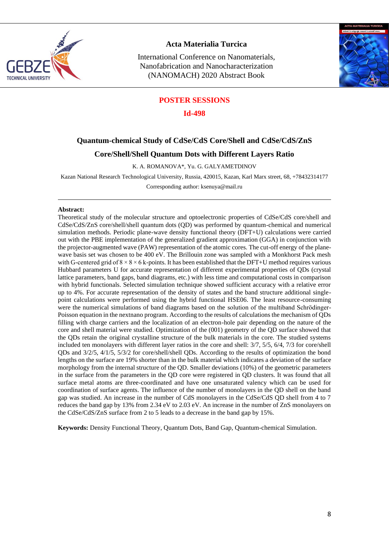

International Conference on Nanomaterials, Nanofabrication and Nanocharacterization (NANOMACH) 2020 Abstract Book



#### **POSTER SESSIONS**

**Id-498**

## **Quantum-chemical Study of CdSe/CdS Core/Shell and CdSe/CdS/ZnS**

#### **Core/Shell/Shell Quantum Dots with Different Layers Ratio**

K. A. ROMANOVA\*, Yu. G. GALYAMETDINOV

Kazan National Research Technological University, Russia, 420015, Kazan, Karl Marx street, 68, +78432314177

Corresponding author: ksenuya@mail.ru

#### **Abstract:**

Theoretical study of the molecular structure and optoelectronic properties of CdSe/CdS core/shell and CdSe/CdS/ZnS core/shell/shell quantum dots (QD) was performed by quantum-chemical and numerical simulation methods. Periodic plane-wave density functional theory (DFT+U) calculations were carried out with the PBE implementation of the generalized gradient approximation (GGA) in conjunction with the projector-augmented wave (PAW) representation of the atomic cores. The cut-off energy of the planewave basis set was chosen to be 400 eV. The Brillouin zone was sampled with a Monkhorst Pack mesh with G-centered grid of  $8 \times 8 \times 6$  k-points. It has been established that the DFT+U method requires various Hubbard parameters U for accurate representation of different experimental properties of QDs (crystal lattice parameters, band gaps, band diagrams, etc.) with less time and computational costs in comparison with hybrid functionals. Selected simulation technique showed sufficient accuracy with a relative error up to 4%. For accurate representation of the density of states and the band structure additional singlepoint calculations were performed using the hybrid functional HSE06. The least resource-consuming were the numerical simulations of band diagrams based on the solution of the multiband Schrödinger-Poisson equation in the nextnano program. According to the results of calculations the mechanism of QDs filling with charge carriers and the localization of an electron-hole pair depending on the nature of the core and shell material were studied. Optimization of the (001) geometry of the QD surface showed that the QDs retain the original crystalline structure of the bulk materials in the core. The studied systems included ten monolayers with different layer ratios in the core and shell: 3/7, 5/5, 6/4, 7/3 for core/shell QDs and 3/2/5, 4/1/5, 5/3/2 for core/shell/shell QDs. According to the results of optimization the bond lengths on the surface are 19% shorter than in the bulk material which indicates a deviation of the surface morphology from the internal structure of the QD. Smaller deviations (10%) of the geometric parameters in the surface from the parameters in the QD core were registered in QD clusters. It was found that all surface metal atoms are three-coordinated and have one unsaturated valency which can be used for coordination of surface agents. The influence of the number of monolayers in the QD shell on the band gap was studied. An increase in the number of CdS monolayers in the CdSe/CdS QD shell from 4 to 7 reduces the band gap by 13% from 2.34 eV to 2.03 eV. An increase in the number of ZnS monolayers on the CdSe/CdS/ZnS surface from 2 to 5 leads to a decrease in the band gap by 15%.

**Keywords:** Density Functional Theory, Quantum Dots, Band Gap, Quantum-chemical Simulation.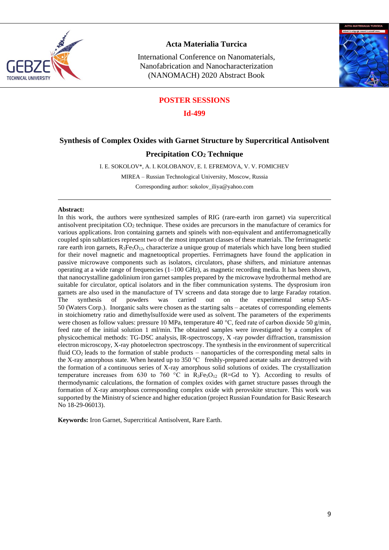

International Conference on Nanomaterials, Nanofabrication and Nanocharacterization (NANOMACH) 2020 Abstract Book



#### **POSTER SESSIONS**

**Id-499**

#### **Synthesis of Complex Oxides with Garnet Structure by Supercritical Antisolvent**

#### **Precipitation CO<sup>2</sup> Technique**

I. E. SOKOLOV\*, A. I. KOLOBANOV, E. I. EFREMOVA, V. V. FOMICHEV

MIREA – Russian Technological University, Moscow, Russia

Corresponding author: [sokolov\\_iliya@yahoo.com](mailto:sokolov_iliya@yahoo.com)

#### **Abstract:**

In this work, the authors were synthesized samples of RIG (rare-earth iron garnet) via supercritical antisolvent precipitation CO<sub>2</sub> technique. These oxides are precursors in the manufacture of ceramics for various applications. Iron containing garnets and spinels with non-equivalent and antiferromagnetically coupled spin sublattices represent two of the most important classes of these materials. The ferrimagnetic rare earth iron garnets,  $R_3Fe_5O_{12}$ , characterize a unique group of materials which have long been studied for their novel magnetic and magnetooptical properties. Ferrimagnets have found the application in passive microwave components such as isolators, circulators, phase shifters, and miniature antennas operating at a wide range of frequencies  $(1-100 \text{ GHz})$ , as magnetic recording media. It has been shown, that nanocrystalline gadolinium iron garnet samples prepared by the microwave hydrothermal method are suitable for circulator, optical isolators and in the fiber communication systems. The dysprosium iron garnets are also used in the manufacture of TV screens and data storage due to large Faraday rotation. The synthesis of powders was carried out on the experimental setup SAS-50 (Waters Corp.). Inorganic salts were chosen as the starting salts – acetates of corresponding elements in stoichiometry ratio and dimethylsulfoxide were used as solvent. The parameters of the experiments were chosen as follow values: pressure 10 MPa, temperature 40 °C, feed rate of carbon dioxide 50 g/min, feed rate of the initial solution 1 ml/min. The obtained samples were investigated by a complex of physicochemical methods: TG-DSC analysis, IR-spectroscopy, X -ray powder diffraction, transmission electron microscopy, X-ray photoelectron spectroscopy. The synthesis in the environment of supercritical fluid CO<sup>2</sup> leads to the formation of stable products – nanoparticles of the corresponding metal salts in the X-ray amorphous state. When heated up to 350 °C freshly-prepared acetate salts are destroyed with the formation of a continuous series of X-ray amorphous solid solutions of oxides. The crystallization temperature increases from 630 to 760 °C in  $R_3Fe<sub>3</sub>O<sub>12</sub>$  (R=Gd to Y). According to results of thermodynamic calculations, the formation of complex oxides with garnet structure passes through the formation of X-ray amorphous corresponding complex oxide with perovskite structure. This work was supported by the Ministry of science and higher education (project Russian Foundation for Basic Research No 18-29-06013).

**Keywords:** Iron Garnet, Supercritical Antisolvent, Rare Earth.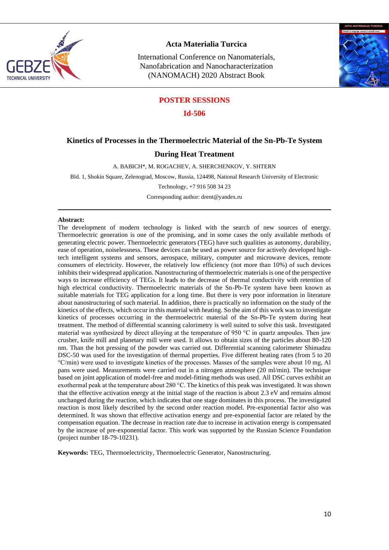

International Conference on Nanomaterials, Nanofabrication and Nanocharacterization (NANOMACH) 2020 Abstract Book



#### **POSTER SESSIONS**

**Id-506**

#### **Kinetics of Processes in the Thermoelectric Material of the Sn-Pb-Te System**

#### **During Heat Treatment**

A. BABICH\*, M. ROGACHEV, A. SHERCHENKOV, Y. SHTERN

Bld. 1, Shokin Square, Zelenograd, Moscow, Russia, 124498, National Research University of Electronic

Technology, +7 916 508 34 23

Corresponding author: drent@yandex.ru

#### **Abstract:**

The development of modern technology is linked with the search of new sources of energy. Thermoelectric generation is one of the promising, and in some cases the only available methods of generating electric power. Thermoelectric generators (TEG) have such qualities as autonomy, durability, ease of operation, noiselessness. These devices can be used as power source for actively developed hightech intelligent systems and sensors, aerospace, military, computer and microwave devices, remote consumers of electricity. However, the relatively low efficiency (not more than 10%) of such devices inhibits their widespread application. Nanostructuring of thermoelectric materials is one of the perspective ways to increase efficiency of TEGs. It leads to the decrease of thermal conductivity with retention of high electrical conductivity. Thermoelectric materials of the Sn-Pb-Te system have been known as suitable materials for TEG application for a long time. But there is very poor information in literature about nanostructuring of such material. In addition, there is practically no information on the study of the kinetics of the effects, which occur in this material with heating. So the aim of this work was to investigate kinetics of processes occurring in the thermoelectric material of the Sn-Pb-Te system during heat treatment. The method of differential scanning calorimetry is well suited to solve this task. Investigated material was synthesized by direct alloying at the temperature of 950 °C in quartz ampoules. Then jaw crusher, knife mill and planetary mill were used. It allows to obtain sizes of the particles about 80-120 nm. Than the hot pressing of the powder was carried out. Differential scanning calorimeter Shimadzu DSC-50 was used for the investigation of thermal properties. Five different heating rates (from 5 to 20 °C/min) were used to investigate kinetics of the processes. Masses of the samples were about 10 mg, Al pans were used. Measurements were carried out in a nitrogen atmosphere (20 ml/min). The technique based on joint application of model-free and model-fitting methods was used. All DSC curves exhibit an exothermal peak at the temperature about 280 °С. The kinetics of this peak was investigated. It was shown that the effective activation energy at the initial stage of the reaction is about 2.3 eV and remains almost unchanged during the reaction, which indicates that one stage dominates in this process. The investigated reaction is most likely described by the second order reaction model. Pre-exponential factor also was determined. It was shown that effective activation energy and pre-exponential factor are related by the compensation equation. The decrease in reaction rate due to increase in activation energy is compensated by the increase of pre-exponential factor. This work was supported by the Russian Science Foundation (project number 18-79-10231).

**Keywords:** TEG, Thermoelectricity, Thermoelectric Generator, Nanostructuring.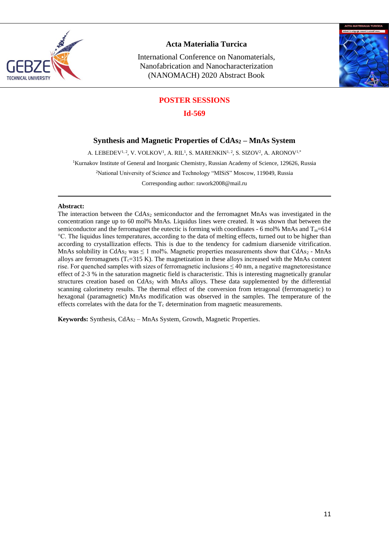

International Conference on Nanomaterials, Nanofabrication and Nanocharacterization (NANOMACH) 2020 Abstract Book



## **POSTER SESSIONS**

**Id-569**

## **Synthesis and Magnetic Properties of CdAs<sup>2</sup> – MnAs System**

A. LEBEDEV $^{1,\,2}$ , V. VOLKOV $^{1,\,}$ A. RIL $^{1,\,}$ S. MARENKIN $^{1,\,2}$ , S. SIZOV $^{2},$  A. ARONOV $^{1,\ast}$ <sup>1</sup>Kurnakov Institute of General and Inorganic Chemistry, Russian Academy of Science, 129626, Russia <sup>2</sup>National University of Science and Technology "MISiS" Moscow, 119049, Russia Corresponding author[: rawork2008@mail.ru](mailto:rawork2008@mail.ru)

#### **Abstract:**

The interaction between the CdAs<sub>2</sub> semiconductor and the ferromagnet MnAs was investigated in the concentration range up to 60 mol% MnAs. Liquidus lines were created. It was shown that between the semiconductor and the ferromagnet the eutectic is forming with coordinates - 6 mol% MnAs and  $T_m=614$ °C. The liquidus lines temperatures, according to the data of melting effects, turned out to be higher than according to crystallization effects. This is due to the tendency for cadmium diarsenide vitrification. MnAs solubility in CdAs<sub>2</sub> was  $\leq 1$  mol%. Magnetic properties measurements show that CdAs<sub>2</sub> - MnAs alloys are ferromagnets ( $T_c=315$  K). The magnetization in these alloys increased with the MnAs content rise. For quenched samples with sizes of ferromagnetic inclusions ≤ 40 nm, a negative magnetoresistance effect of 2-3 % in the saturation magnetic field is characteristic. This is interesting magnetically granular structures creation based on CdAs<sub>2</sub> with MnAs alloys. These data supplemented by the differential scanning calorimetry results. The thermal effect of the conversion from tetragonal (ferromagnetic) to hexagonal (paramagnetic) MnAs modification was observed in the samples. The temperature of the effects correlates with the data for the  $T_c$  determination from magnetic measurements.

Keywords: Synthesis, CdAs<sub>2</sub> – MnAs System, Growth, Magnetic Properties.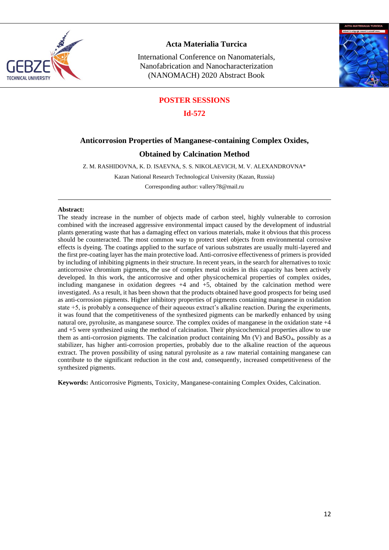

International Conference on Nanomaterials, Nanofabrication and Nanocharacterization (NANOMACH) 2020 Abstract Book



#### **POSTER SESSIONS**

**Id-572**

#### **Anticorrosion Properties of Manganese-containing Complex Oxides,**

#### **Obtained by Calcination Method**

Z. M. RASHIDOVNA, K. D. ISAEVNA, S. S. NIKOLAEVICH, M. V. ALEXANDROVNA\*

Kazan National Research Technological University (Kazan, Russia)

Corresponding author[: vallery78@mail.ru](mailto:vallery78@mail.ru)

#### **Abstract:**

The steady increase in the number of objects made of carbon steel, highly vulnerable to corrosion combined with the increased aggressive environmental impact caused by the development of industrial plants generating waste that has a damaging effect on various materials, make it obvious that this process should be counteracted. The most common way to protect steel objects from environmental corrosive effects is dyeing. The coatings applied to the surface of various substrates are usually multi-layered and the first pre-coating layer has the main protective load. Anti-corrosive effectiveness of primers is provided by including of inhibiting pigments in their structure. In recent years, in the search for alternatives to toxic anticorrosive chromium pigments, the use of complex metal oxides in this capacity has been actively developed. In this work, the anticorrosive and other physicochemical properties of complex oxides, including manganese in oxidation degrees +4 and +5, obtained by the calcination method were investigated. As a result, it has been shown that the products obtained have good prospects for being used as anti-corrosion pigments. Higher inhibitory properties of pigments containing manganese in oxidation state +5, is probably a consequence of their aqueous extract's alkaline reaction. During the experiments, it was found that the competitiveness of the synthesized pigments can be markedly enhanced by using natural ore, pyrolusite, as manganese source. The complex oxides of manganese in the oxidation state +4 and +5 were synthesized using the method of calcination. Their physicochemical properties allow to use them as anti-corrosion pigments. The calcination product containing  $Mn$  (V) and BaSO<sub>4</sub>, possibly as a stabilizer, has higher anti-corrosion properties, probably due to the alkaline reaction of the aqueous extract. The proven possibility of using natural pyrolusite as a raw material containing manganese can contribute to the significant reduction in the cost and, consequently, increased competitiveness of the synthesized pigments.

**Keywords:** Anticorrosive Pigments, Toxicity, Manganese-containing Complex Oxides, Calcination.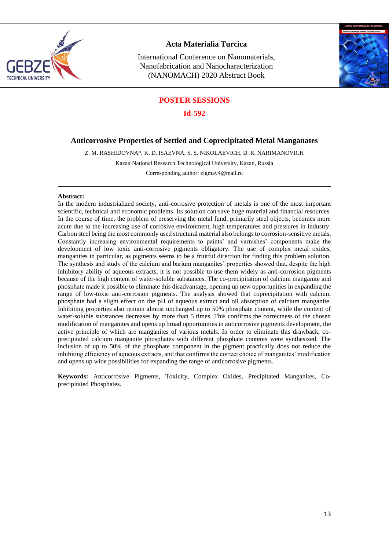

International Conference on Nanomaterials, Nanofabrication and Nanocharacterization (NANOMACH) 2020 Abstract Book



#### **POSTER SESSIONS**

**Id-592**

#### **Anticorrosive Properties of Settled and Coprecipitated Metal Manganates**

Z. M. RASHIDOVNA\*, K. D. ISAEVNA, S. S. NIKOLAEVICH, D. R. NARIMANOVICH

Kazan National Research Technological University, Kazan, Russia

Corresponding author: [zigmay4@mail.ru](mailto:zigmay4@mail.ru)

#### **Abstract:**

In the modern industrialized society, anti-corrosive protection of metals is one of the most important scientific, technical and economic problems. Its solution can save huge material and financial resources. In the course of time, the problem of preserving the metal fund, primarily steel objects, becomes more acute due to the increasing use of corrosive environment, high temperatures and pressures in industry. Carbon steel being the most commonly used structural material also belongs to corrosion-sensitive metals. Constantly increasing environmental requirements to paints' and varnishes' components make the development of low toxic anti-corrosive pigments obligatory. The use of complex metal oxides, manganites in particular, as pigments seems to be a fruitful direction for finding this problem solution. The synthesis and study of the calcium and barium manganites' properties showed that, despite the high inhibitory ability of aqueous extracts, it is not possible to use them widely as anti-corrosion pigments because of the high content of water-soluble substances. The co-precipitation of calcium manganite and phosphate made it possible to eliminate this disadvantage, opening up new opportunities in expanding the range of low-toxic anti-corrosion pigments. The analysis showed that coprecipitation with calcium phosphate had a slight effect on the pH of aqueous extract and oil absorption of calcium manganite. Inhibiting properties also remain almost unchanged up to 50% phosphate content, while the content of water-soluble substances decreases by more than 5 times. This confirms the correctness of the chosen modification of manganites and opens up broad opportunities in anticorrosive pigments development, the active principle of which are manganites of various metals. In order to eliminate this drawback, coprecipitated calcium manganite phosphates with different phosphate contents were synthesized. The inclusion of up to 50% of the phosphate component in the pigment practically does not reduce the inhibiting efficiency of aqueous extracts, and that confirms the correct choice of manganites' modification and opens up wide possibilities for expanding the range of anticorrosive pigments.

**Keywords:** Anticorrosive Pigments, Toxicity, Complex Oxides, Precipitated Manganites, Coprecipitated Phosphates.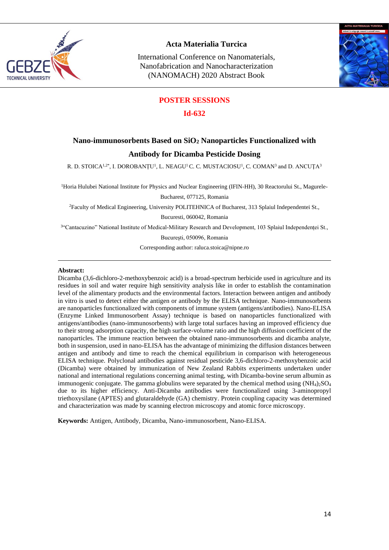

International Conference on Nanomaterials, Nanofabrication and Nanocharacterization (NANOMACH) 2020 Abstract Book



#### **POSTER SESSIONS**

#### **Id-632**

# **Nano-immunosorbents Based on SiO<sup>2</sup> Nanoparticles Functionalized with Antibody for Dicamba Pesticide Dosing**

R. D. STOICA $^{1,2*}$ , I. DOROBANȚU<sup>1</sup>, L. NEAGU<sup>1</sup> C. C. MUSTACIOSU<sup>1</sup>, C. COMAN<sup>3</sup> and D. ANCUȚA $^3$ 

<sup>1</sup>Horia Hulubei National Institute for Physics and Nuclear Engineering (IFIN-HH), 30 Reactorului St., Magurele-

Bucharest, 077125, Romania

<sup>2</sup>Faculty of Medical Engineering, University POLITEHNICA of Bucharest, 313 Splaiul Independentei St.,

Bucuresti, 060042, Romania

3 "Cantacuzino" National Institute of Medical-Military Research and Development, 103 Splaiul Independenței St.,

Bucureşti, 050096, Romania

Corresponding author: [raluca.stoica@nipne.ro](mailto:raluca.stoica@nipne.ro)

#### **Abstract:**

Dicamba (3,6-dichloro-2-methoxybenzoic acid) is a broad-spectrum herbicide used in agriculture and its residues in soil and water require high sensitivity analysis like in order to establish the contamination level of the alimentary products and the environmental factors. Interaction between antigen and antibody in vitro is used to detect either the antigen or antibody by the ELISA technique. Nano-immunosorbents are nanoparticles functionalized with components of immune system (antigens/antibodies). Nano-ELISA (Enzyme Linked Immunosorbent Assay) technique is based on nanoparticles functionalized with antigens/antibodies (nano-immunosorbents) with large total surfaces having an improved efficiency due to their strong adsorption capacity, the high surface-volume ratio and the high diffusion coefficient of the nanoparticles. The immune reaction between the obtained nano-immunosorbents and dicamba analyte, both in suspension, used in nano-ELISA has the advantage of minimizing the diffusion distances between antigen and antibody and time to reach the chemical equilibrium in comparison with heterogeneous ELISA technique. Polyclonal antibodies against residual pesticide 3,6-dichloro-2-methoxybenzoic acid (Dicamba) were obtained by immunization of New Zealand Rabbits experiments undertaken under national and international regulations concerning animal testing, with Dicamba-bovine serum albumin as immunogenic conjugate. The gamma globulins were separated by the chemical method using  $(NH_4)$  $SO_4$ due to its higher efficiency. Anti-Dicamba antibodies were functionalized using 3-aminopropyl triethoxysilane (APTES) and glutaraldehyde (GA) chemistry. Protein coupling capacity was determined and characterization was made by scanning electron microscopy and atomic force microscopy.

**Keywords:** Antigen, Antibody, Dicamba, Nano-immunosorbent, Nano-ELISA.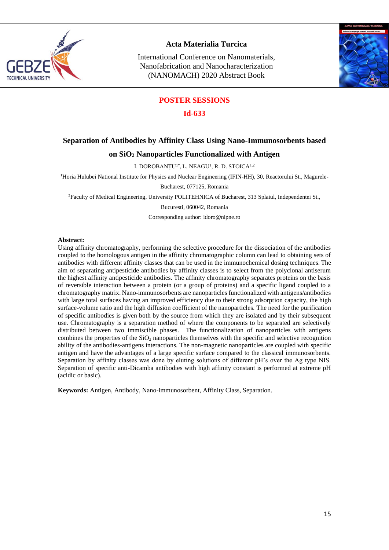

International Conference on Nanomaterials, Nanofabrication and Nanocharacterization (NANOMACH) 2020 Abstract Book



#### **POSTER SESSIONS**

**Id-633**

### **Separation of Antibodies by Affinity Class Using Nano-Immunosorbents based**

#### **on SiO<sup>2</sup> Nanoparticles Functionalized with Antigen**

I. DOROBANȚU<sup>1\*</sup>, L. NEAGU<sup>1</sup>, R. D. STOICA<sup>1,2</sup>

<sup>1</sup>Horia Hulubei National Institute for Physics and Nuclear Engineering (IFIN-HH), 30, Reactorului St., Magurele-

Bucharest, 077125, Romania

<sup>2</sup>Faculty of Medical Engineering, University POLITEHNICA of Bucharest, 313 Splaiul, Independentei St.,

Bucuresti, 060042, Romania

Corresponding author: [idoro@nipne.ro](mailto:idoro@nipne.ro)

#### **Abstract:**

Using affinity chromatography, performing the selective procedure for the dissociation of the antibodies coupled to the homologous antigen in the affinity chromatographic column can lead to obtaining sets of antibodies with different affinity classes that can be used in the immunochemical dosing techniques. The aim of separating antipesticide antibodies by affinity classes is to select from the polyclonal antiserum the highest affinity antipesticide antibodies. The affinity chromatography separates proteins on the basis of reversible interaction between a protein (or a group of proteins) and a specific ligand coupled to a chromatography matrix. Nano-immunosorbents are nanoparticles functionalized with antigens/antibodies with large total surfaces having an improved efficiency due to their strong adsorption capacity, the high surface-volume ratio and the high diffusion coefficient of the nanoparticles. The need for the purification of specific antibodies is given both by the source from which they are isolated and by their subsequent use. Chromatography is a separation method of where the components to be separated are selectively distributed between two immiscible phases. The functionalization of nanoparticles with antigens combines the properties of the SiO<sup>2</sup> nanoparticles themselves with the specific and selective recognition ability of the antibodies-antigens interactions. The non-magnetic nanoparticles are coupled with specific antigen and have the advantages of a large specific surface compared to the classical immunosorbents. Separation by affinity classes was done by eluting solutions of different pH's over the Ag type NIS. Separation of specific anti-Dicamba antibodies with high affinity constant is performed at extreme pH (acidic or basic).

**Keywords:** Antigen, Antibody, Nano-immunosorbent, Affinity Class, Separation.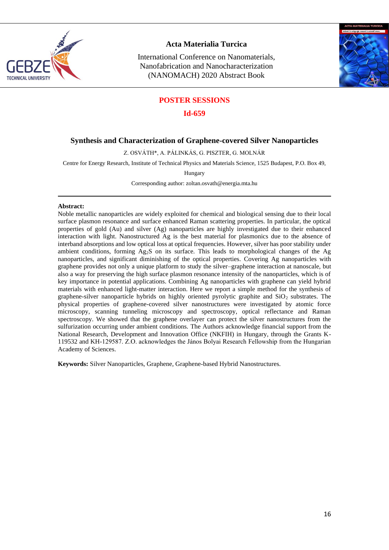

International Conference on Nanomaterials, Nanofabrication and Nanocharacterization (NANOMACH) 2020 Abstract Book



## **POSTER SESSIONS**

#### **Id-659**

#### **Synthesis and Characterization of Graphene-covered Silver Nanoparticles**

Z. OSVÁTH\*, A. PÁLINKÁS, G. PISZTER, G. MOLNÁR

Centre for Energy Research, Institute of Technical Physics and Materials Science, 1525 Budapest, P.O. Box 49,

Hungary

Corresponding author[: zoltan.osvath@energia.mta.hu](mailto:zoltan.osvath@energia.mta.hu)

#### **Abstract:**

Noble metallic nanoparticles are widely exploited for chemical and biological sensing due to their local surface plasmon resonance and surface enhanced Raman scattering properties. In particular, the optical properties of gold (Au) and silver (Ag) nanoparticles are highly investigated due to their enhanced interaction with light. Nanostructured Ag is the best material for plasmonics due to the absence of interband absorptions and low optical loss at optical frequencies. However, silver has poor stability under ambient conditions, forming Ag2S on its surface. This leads to morphological changes of the Ag nanoparticles, and significant diminishing of the optical properties. Covering Ag nanoparticles with graphene provides not only a unique platform to study the silver–graphene interaction at nanoscale, but also a way for preserving the high surface plasmon resonance intensity of the nanoparticles, which is of key importance in potential applications. Combining Ag nanoparticles with graphene can yield hybrid materials with enhanced light-matter interaction. Here we report a simple method for the synthesis of graphene-silver nanoparticle hybrids on highly oriented pyrolytic graphite and  $SiO<sub>2</sub>$  substrates. The physical properties of graphene-covered silver nanostructures were investigated by atomic force microscopy, scanning tunneling microscopy and spectroscopy, optical reflectance and Raman spectroscopy. We showed that the graphene overlayer can protect the silver nanostructures from the sulfurization occurring under ambient conditions. The Authors acknowledge financial support from the National Research, Development and Innovation Office (NKFIH) in Hungary, through the Grants K-119532 and KH-129587. Z.O. acknowledges the János Bolyai Research Fellowship from the Hungarian Academy of Sciences.

**Keywords:** Silver Nanoparticles, Graphene, Graphene-based Hybrid Nanostructures.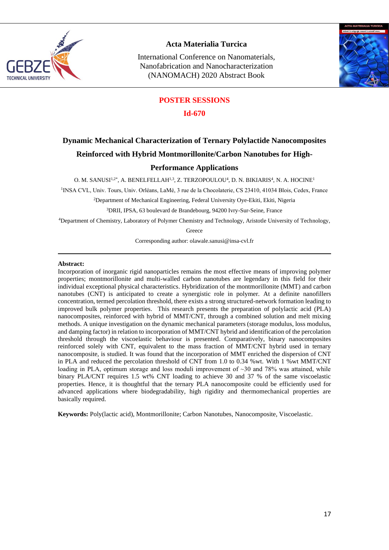

International Conference on Nanomaterials, Nanofabrication and Nanocharacterization (NANOMACH) 2020 Abstract Book



## **POSTER SESSIONS**

#### **Id-670**

# **Dynamic Mechanical Characterization of Ternary Polylactide Nanocomposites Reinforced with Hybrid Montmorillonite/Carbon Nanotubes for High-**

#### **Performance Applications**

O. M. SANUSI $^{1,2*}$ , A. BENELFELLAH $^{1,3}$ , Z. TERZOPOULOU<sup>4</sup>, D. N. BIKIARIS<sup>4</sup>, N. A. HOCINE<sup>1</sup>

1 INSA CVL, Univ. Tours, Univ. Orléans, LaMé, 3 rue de la Chocolaterie, CS 23410, 41034 Blois, Cedex, France

<sup>2</sup>Department of Mechanical Engineering, Federal University Oye-Ekiti, Ekiti, Nigeria

<sup>3</sup>DRII, IPSA, 63 boulevard de Brandebourg, 94200 Ivry-Sur-Seine, France

<sup>4</sup>Department of Chemistry, Laboratory of Polymer Chemistry and Technology, Aristotle University of Technology,

**Greece** 

Corresponding author[: olawale.sanusi@insa-cvl.fr](mailto:olawale.sanusi@insa-cvl.fr)

#### **Abstract:**

Incorporation of inorganic rigid nanoparticles remains the most effective means of improving polymer properties; montmorillonite and multi-walled carbon nanotubes are legendary in this field for their individual exceptional physical characteristics. Hybridization of the montmorillonite (MMT) and carbon nanotubes (CNT) is anticipated to create a synergistic role in polymer. At a definite nanofillers concentration, termed percolation threshold, there exists a strong structured-network formation leading to improved bulk polymer properties. This research presents the preparation of polylactic acid (PLA) nanocomposites, reinforced with hybrid of MMT/CNT, through a combined solution and melt mixing methods. A unique investigation on the dynamic mechanical parameters (storage modulus, loss modulus, and damping factor) in relation to incorporation of MMT/CNT hybrid and identification of the percolation threshold through the viscoelastic behaviour is presented. Comparatively, binary nanocomposites reinforced solely with CNT, equivalent to the mass fraction of MMT/CNT hybrid used in ternary nanocomposite, is studied. It was found that the incorporation of MMT enriched the dispersion of CNT in PLA and reduced the percolation threshold of CNT from 1.0 to 0.34 %wt. With 1 %wt MMT/CNT loading in PLA, optimum storage and loss moduli improvement of  $\sim$ 30 and 78% was attained, while binary PLA/CNT requires 1.5 wt% CNT loading to achieve 30 and 37 % of the same viscoelastic properties. Hence, it is thoughtful that the ternary PLA nanocomposite could be efficiently used for advanced applications where biodegradability, high rigidity and thermomechanical properties are basically required.

**Keywords:** Poly(lactic acid), Montmorillonite; Carbon Nanotubes, Nanocomposite, Viscoelastic.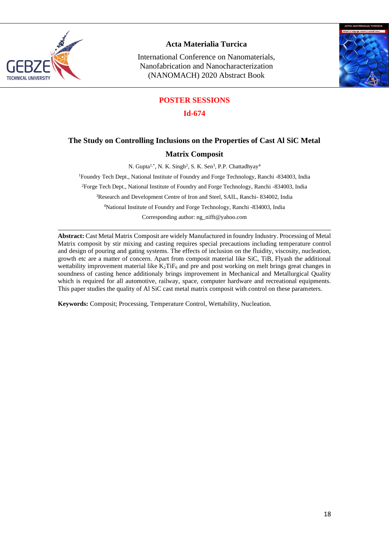

International Conference on Nanomaterials, Nanofabrication and Nanocharacterization (NANOMACH) 2020 Abstract Book



## **POSTER SESSIONS**

**Id-674**

# **The Study on Controlling Inclusions on the Properties of Cast Al SiC Metal**

### **Matrix Composit**

N. Gupta<sup>1,\*</sup>, N. K. Singh<sup>2</sup>, S. K. Sen<sup>3</sup>, P.P. Chattadhyay<sup>4</sup>

<sup>1</sup>Foundry Tech Dept., National Institute of Foundry and Forge Technology, Ranchi -834003, India <sup>2</sup>Forge Tech Dept., National Institute of Foundry and Forge Technology, Ranchi -834003, India <sup>3</sup>Research and Development Centre of Iron and Steel, SAIL, Ranchi- 834002, India <sup>4</sup>National Institute of Foundry and Forge Technology, Ranchi -834003, India Corresponding author: ng\_nifft@yahoo.com

**Abstract:** Cast Metal Matrix Composit are widely Manufactured in foundry Industry. Processing of Metal Matrix composit by stir mixing and casting requires special precautions including temperature control and design of pouring and gating systems. The effects of inclusion on the fluidity, viscosity, nucleation, growth etc are a matter of concern. Apart from composit material like SiC, TiB, Flyash the additional wettability improvement material like  $K_2T$ i $F_6$  and pre and post working on melt brings great changes in soundness of casting hence additionaly brings improvement in Mechanical and Metallurgical Quality which is required for all automotive, railway, space, computer hardware and recreational equipments. This paper studies the quality of Al SiC cast metal matrix composit with control on these parameters.

**Keywords:** Composit; Processing, Temperature Control, Wettability, Nucleation.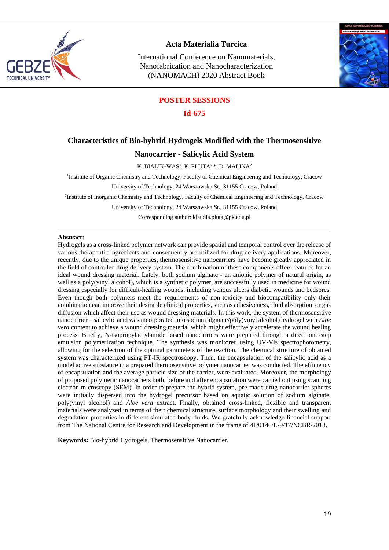

International Conference on Nanomaterials, Nanofabrication and Nanocharacterization (NANOMACH) 2020 Abstract Book



#### **POSTER SESSIONS**

**Id-675**

#### **Characteristics of Bio-hybrid Hydrogels Modified with the Thermosensitive**

#### **Nanocarrier - Salicylic Acid System**

K. BIALIK-WĄS<sup>1</sup>, K. PLUTA<sup>2,\*</sup>, D. MALINA<sup>2</sup>

<sup>1</sup>Institute of Organic Chemistry and Technology, Faculty of Chemical Engineering and Technology, Cracow

University of Technology, 24 Warszawska St., 31155 Cracow, Poland

2 Institute of Inorganic Chemistry and Technology, Faculty of Chemical Engineering and Technology, Cracow

University of Technology, 24 Warszawska St., 31155 Cracow, Poland

Corresponding author: klaudia.pluta@pk.edu.pl

#### **Abstract:**

Hydrogels as a cross-linked polymer network can provide spatial and temporal control over the release of various therapeutic ingredients and consequently are utilized for drug delivery applications. Moreover, recently, due to the unique properties, thermosensitive nanocarriers have become greatly appreciated in the field of controlled drug delivery system. The combination of these components offers features for an ideal wound dressing material. Lately, both sodium alginate - an anionic polymer of natural origin, as well as a poly(vinyl alcohol), which is a synthetic polymer, are successfully used in medicine for wound dressing especially for difficult-healing wounds, including venous ulcers diabetic wounds and bedsores. Even though both polymers meet the requirements of non-toxicity and biocompatibility only their combination can improve their desirable clinical properties, such as adhesiveness, fluid absorption, or gas diffusion which affect their use as wound dressing materials. In this work, the system of thermosensitive nanocarrier – salicylic acid was incorporated into sodium alginate/poly(vinyl alcohol) hydrogel with *Aloe vera* content to achieve a wound dressing material which might effectively accelerate the wound healing process. Briefly, N-isopropylacrylamide based nanocarriers were prepared through a direct one-step emulsion polymerization technique. The synthesis was monitored using UV-Vis spectrophotometry, allowing for the selection of the optimal parameters of the reaction. The chemical structure of obtained system was characterized using FT-IR spectroscopy. Then, the encapsulation of the salicylic acid as a model active substance in a prepared thermosensitive polymer nanocarrier was conducted. The efficiency of encapsulation and the average particle size of the carrier, were evaluated. Moreover, the morphology of proposed polymeric nanocarriers both, before and after encapsulation were carried out using scanning electron microscopy (SEM). In order to prepare the hybrid system, pre-made drug-nanocarrier spheres were initially dispersed into the hydrogel precursor based on aquatic solution of sodium alginate, poly(vinyl alcohol) and *Aloe vera* extract. Finally, obtained cross-linked, flexible and transparent materials were analyzed in terms of their chemical structure, surface morphology and their swelling and degradation properties in different simulated body fluids. We gratefully acknowledge financial support from The National Centre for Research and Development in the frame of 41/0146/L-9/17/NCBR/2018.

**Keywords:** Bio-hybrid Hydrogels, Thermosensitive Nanocarrier.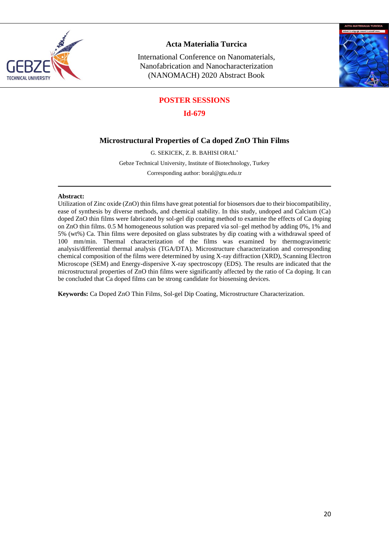

International Conference on Nanomaterials, Nanofabrication and Nanocharacterization (NANOMACH) 2020 Abstract Book



## **POSTER SESSIONS**

**Id-679**

## **Microstructural Properties of Ca doped ZnO Thin Films**

G. SEKICEK, Z. B. BAHISI ORAL\*

Gebze Technical University, Institute of Biotechnology, Turkey

Corresponding author: [boral@gtu.edu.tr](mailto:boral@gtu.edu.tr)

#### **Abstract:**

Utilization of Zinc oxide (ZnO) thin films have great potential for biosensors due to their biocompatibility, ease of synthesis by diverse methods, and chemical stability. In this study, undoped and Calcium (Ca) doped ZnO thin films were fabricated by sol-gel dip coating method to examine the effects of Ca doping on ZnO thin films. 0.5 M homogeneous solution was prepared via sol–gel method by adding 0%, 1% and 5% (wt%) Ca. Thin films were deposited on glass substrates by dip coating with a withdrawal speed of 100 mm/min. Thermal characterization of the films was examined by thermogravimetric analysis/differential thermal analysis (TGA/DTA). Microstructure characterization and corresponding chemical composition of the films were determined by using X-ray diffraction (XRD), Scanning Electron Microscope (SEM) and Energy-dispersive X-ray spectroscopy (EDS). The results are indicated that the microstructural properties of ZnO thin films were [significantly](https://www.powerthesaurus.org/obviously/synonyms) affected by the ratio of Ca doping. It can be concluded that Ca doped films can be strong candidate for biosensing devices.

**Keywords:** Ca Doped ZnO Thin Films, Sol-gel Dip Coating, Microstructure Characterization.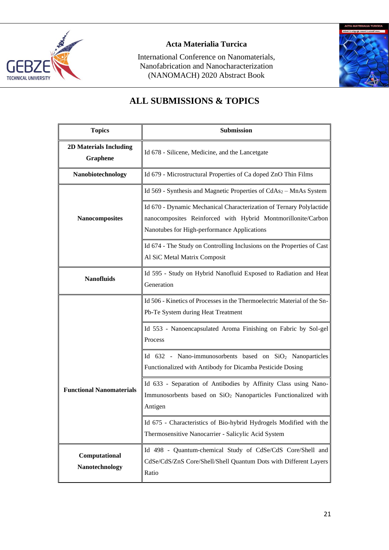

International Conference on Nanomaterials, Nanofabrication and Nanocharacterization (NANOMACH) 2020 Abstract Book



# **ALL SUBMISSIONS & TOPICS**

| <b>Topics</b>                             | Submission                                                                                                                                                                         |
|-------------------------------------------|------------------------------------------------------------------------------------------------------------------------------------------------------------------------------------|
| <b>2D Materials Including</b><br>Graphene | Id 678 - Silicene, Medicine, and the Lancetgate                                                                                                                                    |
| Nanobiotechnology                         | Id 679 - Microstructural Properties of Ca doped ZnO Thin Films                                                                                                                     |
| <b>Nanocomposites</b>                     | Id 569 - Synthesis and Magnetic Properties of $CdAs2 - MnAs$ System                                                                                                                |
|                                           | Id 670 - Dynamic Mechanical Characterization of Ternary Polylactide<br>nanocomposites Reinforced with Hybrid Montmorillonite/Carbon<br>Nanotubes for High-performance Applications |
|                                           | Id 674 - The Study on Controlling Inclusions on the Properties of Cast<br>Al SiC Metal Matrix Composit                                                                             |
| <b>Nanofluids</b>                         | Id 595 - Study on Hybrid Nanofluid Exposed to Radiation and Heat<br>Generation                                                                                                     |
|                                           | Id 506 - Kinetics of Processes in the Thermoelectric Material of the Sn-<br>Pb-Te System during Heat Treatment                                                                     |
|                                           | Id 553 - Nanoencapsulated Aroma Finishing on Fabric by Sol-gel<br>Process                                                                                                          |
|                                           | Id 632 - Nano-immunosorbents based on SiO <sub>2</sub> Nanoparticles<br>Functionalized with Antibody for Dicamba Pesticide Dosing                                                  |
| <b>Functional Nanomaterials</b>           | Id 633 - Separation of Antibodies by Affinity Class using Nano-<br>Immunosorbents based on SiO <sub>2</sub> Nanoparticles Functionalized with<br>Antigen                           |
|                                           | Id 675 - Characteristics of Bio-hybrid Hydrogels Modified with the<br>Thermosensitive Nanocarrier - Salicylic Acid System                                                          |
| Computational<br>Nanotechnology           | Id 498 - Quantum-chemical Study of CdSe/CdS Core/Shell and<br>CdSe/CdS/ZnS Core/Shell/Shell Quantum Dots with Different Layers<br>Ratio                                            |